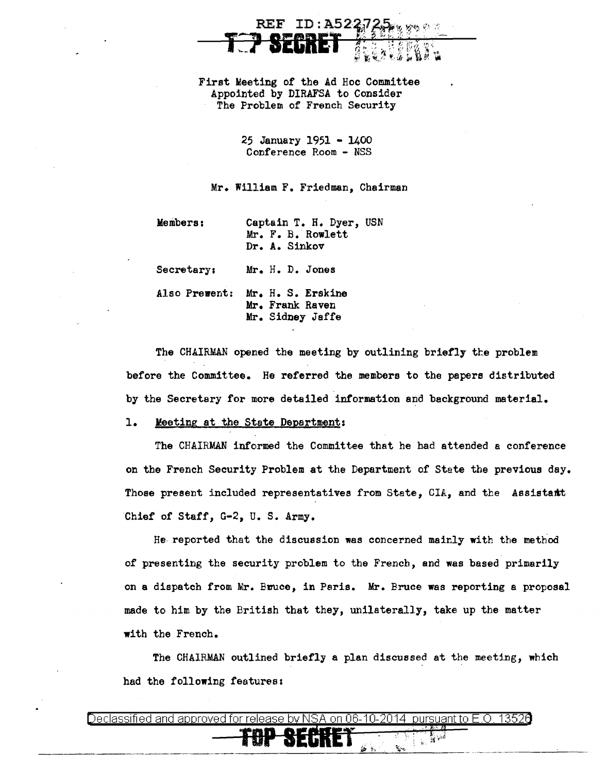First Meeting of the Ad Hoc Committee Appointed by DIRAFSA to Consider The Problem of French Security

 $\mathbf{REF}$ 

 $ID: A522$ 

25 January 1951 - 1400 Conference Room - NSS

Mr. William F. Friedman, Chairman

Members:

Captain T. H. Dyer, USN Mr. F. B. Rowlett Dr. A. Sinkov

Secretary: Mr. H. D. Jones

Also Prevent: Mr. H. S. Erskine Mr. Frank Raven Mr. Sidney Jaffe

The CHAIRMAN opened the meeting by outlining briefly the problem before the Committee. He referred the members to the papers distributed by the Secretary for more detailed information and background material.

Meeting at the State Department: ı.

The CHAIRMAN informed the Committee that he had attended a conference on the French Security Problem at the Department of State the previous day. Those present included representatives from State, CIA, and the Assistant Chief of Staff, G-2, U.S. Army.

He reported that the discussion was concerned mainly with the method of presenting the security problem to the French, and was based primarily on a dispatch from Mr. Bruce, in Paris. Mr. Bruce was reporting a proposal made to him by the British that they, unilaterally, take up the matter with the French.

The CHAIRMAN outlined briefly a plan discussed at the meeting, which had the following features:

| - hv NSA on i<br>46-10-26<br>to Hil<br>DASA L<br>rsuant.<br>Je<br>24.<br>17.EU |
|--------------------------------------------------------------------------------|
| <u>mn ocpurt</u><br>.<br>E)<br>M.<br>- 7<br>$\ddot{\phantom{m}}$               |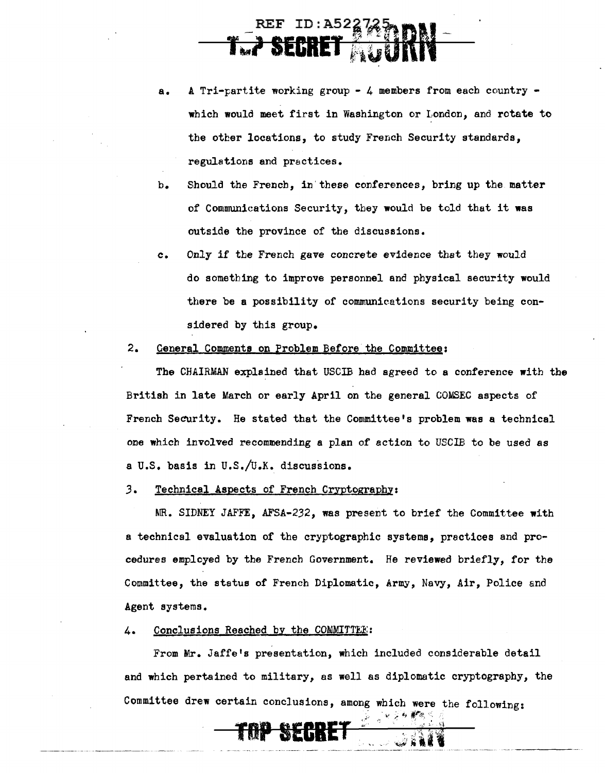## $ID: A52%$ 1~1 **SECRET** b~iuU

- a. A Tri-partite working group 4 members from each country which would meet first in Washington or London, and rotate to the other locations, to study French Security standards, regulations and practices.
- b. Should the French, in' these conferences, bring up the matter of Communications Security, they would be told that it was outside the province of the discussions.
- c. Only if the French gave concrete evidence that they would do something to improve personnel and physical security would there be a possibility of communications security being considered by this group.
- 2. General Comments on Problem Before the Committee:

The CHAIRMAN explained that USCIB had agreed to a conference with the British in late March or early April on the general COMSEC aspects of French Security. He stated that the Committee's problem was a technical one which involved recommending a plan of action to USCIB to be used as a U.S. basis in U.S./U.K. discussions.

*3.* Technical Aspects of French Cryptography:

MR. SIDNEY JAFFE, AFSA-232, was present to brief the Committee with a technical evaluation of the cryptographic systems, practices and procedures employed by the French Government. He reviewed briefly, for the Committee, the status of French Diplomatic, Army, Navy, Air, Police and Agent systems.

4. Conclusions Reached by the COMMITTEE::

From Mr. Jaffe's presentation, which included considerable detail and which pertained to military, as well as diplomatic cryptography, the Committee drew certain conclusions, among which were the following:

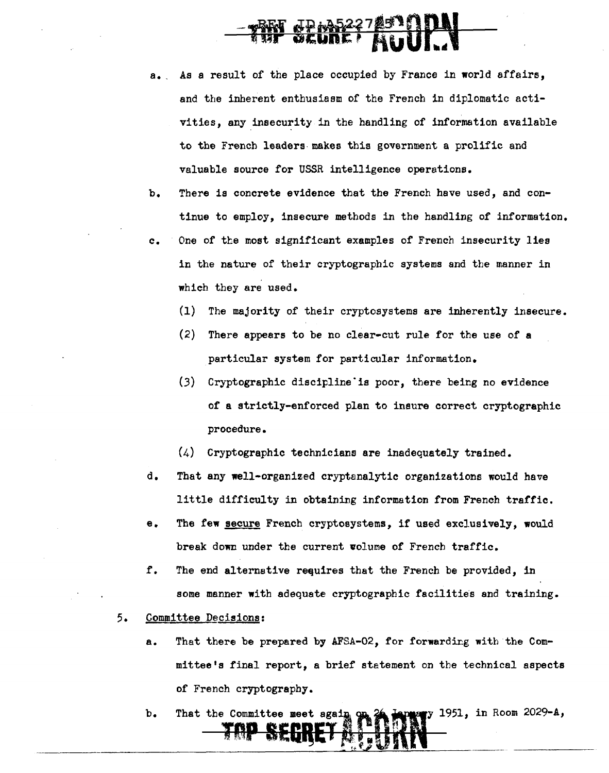## <u> ДР МБ227</u><br>**ОСИПЕ**

a. As a result of the place occupied by France in world affairs. and the inherent enthusiasm of the French in diplomatic activities, any insecurity in the handling of information available to the French leaders· makes this government a prolific and valuable source for USSR intelligence operations.

b. There is concrete evidence that the French have used, and continue to employ, insecure methods in the handling of information.

- c. One of the most significant examples of French insecurity lies in the nature of their cryptographic systems and the manner in which they are used.
	- (1) The majority of their cryptosystems are inherently insecure.
	- (2) There appears to be no clear-cut rule for the use of a particular system tor particular information.
	- (.3) Cryptographic discipline·is poor, there being no evidence of a strictly-enforced plan to insure correct cryptographic procedure.
	- (4) Cryptographic technicians are inadequately trained.
- d. That any well-organized cryptanalytic organizations would have little difficulty in obtaining information from French traffic.
- e. The few secure French cryptosystems, if used exclusively, would break down under the current volume of French traffic.
- f. The end alternative requires that the French be provided, in some manner with adequate cryptographic facilities and training.
- *5.* Committee Decisions:
	- a. That there be prepared by AFSA-02, for forwardiz:g witb the Committee's final report, a brief statement on the technical aspects of French cryptography.
	- y 1951, in Room 2029-A, b. That the Committee meet